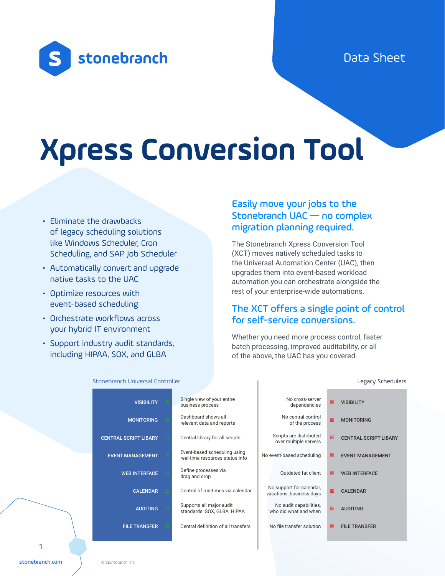## Data Sheet



# **Xpress Conversion Tool**

- Eliminate the drawbacks of legacy scheduling solutions like Windows Scheduler, Cron Scheduling, and SAP Job Scheduler
- Automatically convert and upgrade native tasks to the UAC
- Optimize resources with event-based scheduling
- Orchestrate workflows across your hybrid IT environment
- Support industry audit standards, including HIPAA, SOX, and GLBA

## Easily move your jobs to the Stonebranch UAC — no complex migration planning required.

The Stonebranch Xpress Conversion Tool (XCT) moves natively scheduled tasks to the Universal Automation Center (UAC), then upgrades them into event-based workload automation you can orchestrate alongside the rest of your enterprise-wide automations.

#### The XCT offers a single point of control for self-service conversions.

Whether you need more process control, faster batch processing, improved auditability, or all of the above, the UAC has you covered.

|  | <b>VISIBILITY</b>            | Single view of your entire<br>business process                  | No cross-server<br>dependencies                      | 図 | <b>VISIBILITY</b>            |
|--|------------------------------|-----------------------------------------------------------------|------------------------------------------------------|---|------------------------------|
|  | <b>MONITORING</b>            | Dashboard shows all<br>relevant data and reports                | No central control<br>of the process                 | 図 | <b>MONITORING</b>            |
|  | <b>CENTRAL SCRIPT LIBARY</b> | Central library for all scripts                                 | Scripts are distributed<br>over multiple servers     | 図 | <b>CENTRAL SCRIPT LIBARY</b> |
|  | <b>EVENT MANAGEMENT</b>      | Event-based scheduling using<br>real-time resources status info | No event-based scheduling                            | 図 | <b>EVENT MANAGEMENT</b>      |
|  | <b>WEB INTERFACE</b>         | Define processes via<br>drag and drop                           | Outdated fat client                                  | 図 | <b>WEB INTERFACE</b>         |
|  | <b>CALENDAR</b>              | Control of run-times via calendar                               | No support for calendar,<br>vacations, business days | 図 | <b>CALENDAR</b>              |
|  | <b>AUDITING</b>              | Supports all major audit<br>standards: SOX, GLBA, HIPAA         | No audit capabilities,<br>who did what and when      | 図 | <b>AUDITING</b>              |
|  | <b>FILE TRANSFER</b>         | Central definition of all transfers                             | No file transfer solution                            | 図 | <b>FILE TRANSFER</b>         |
|  |                              |                                                                 |                                                      |   |                              |

Stonebranch Universal Controller Legacy Schedulers Legacy Schedulers Legacy Schedulers